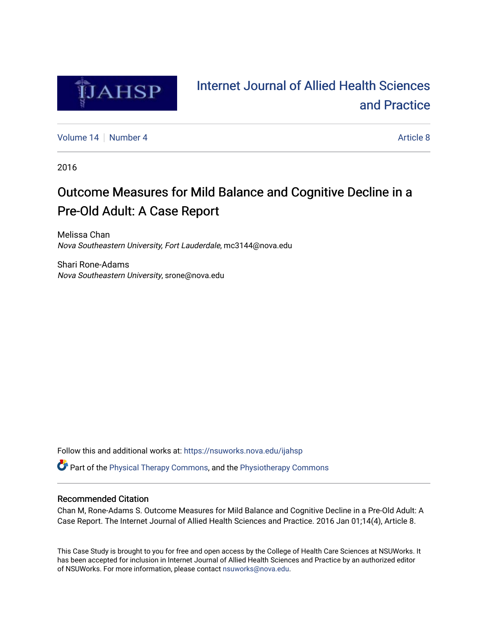

# [Internet Journal of Allied Health Sciences](https://nsuworks.nova.edu/ijahsp)  [and Practice](https://nsuworks.nova.edu/ijahsp)

[Volume 14](https://nsuworks.nova.edu/ijahsp/vol14) [Number 4](https://nsuworks.nova.edu/ijahsp/vol14/iss4) Article 8

2016

# Outcome Measures for Mild Balance and Cognitive Decline in a Pre-Old Adult: A Case Report

Melissa Chan Nova Southeastern University, Fort Lauderdale, mc3144@nova.edu

Shari Rone-Adams Nova Southeastern University, srone@nova.edu

Follow this and additional works at: [https://nsuworks.nova.edu/ijahsp](https://nsuworks.nova.edu/ijahsp?utm_source=nsuworks.nova.edu%2Fijahsp%2Fvol14%2Fiss4%2F8&utm_medium=PDF&utm_campaign=PDFCoverPages) 

Part of the [Physical Therapy Commons](http://network.bepress.com/hgg/discipline/754?utm_source=nsuworks.nova.edu%2Fijahsp%2Fvol14%2Fiss4%2F8&utm_medium=PDF&utm_campaign=PDFCoverPages), and the [Physiotherapy Commons](http://network.bepress.com/hgg/discipline/1086?utm_source=nsuworks.nova.edu%2Fijahsp%2Fvol14%2Fiss4%2F8&utm_medium=PDF&utm_campaign=PDFCoverPages) 

## Recommended Citation

Chan M, Rone-Adams S. Outcome Measures for Mild Balance and Cognitive Decline in a Pre-Old Adult: A Case Report. The Internet Journal of Allied Health Sciences and Practice. 2016 Jan 01;14(4), Article 8.

This Case Study is brought to you for free and open access by the College of Health Care Sciences at NSUWorks. It has been accepted for inclusion in Internet Journal of Allied Health Sciences and Practice by an authorized editor of NSUWorks. For more information, please contact [nsuworks@nova.edu.](mailto:nsuworks@nova.edu)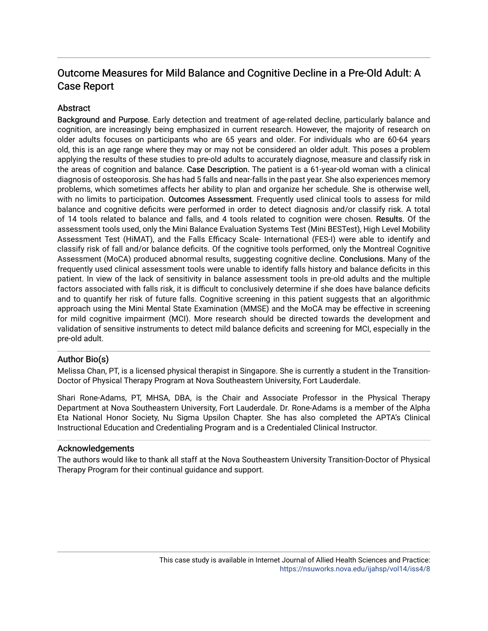## Outcome Measures for Mild Balance and Cognitive Decline in a Pre-Old Adult: A Case Report

## Abstract

Background and Purpose. Early detection and treatment of age-related decline, particularly balance and cognition, are increasingly being emphasized in current research. However, the majority of research on older adults focuses on participants who are 65 years and older. For individuals who are 60-64 years old, this is an age range where they may or may not be considered an older adult. This poses a problem applying the results of these studies to pre-old adults to accurately diagnose, measure and classify risk in the areas of cognition and balance. Case Description. The patient is a 61-year-old woman with a clinical diagnosis of osteoporosis. She has had 5 falls and near-falls in the past year. She also experiences memory problems, which sometimes affects her ability to plan and organize her schedule. She is otherwise well, with no limits to participation. Outcomes Assessment. Frequently used clinical tools to assess for mild balance and cognitive deficits were performed in order to detect diagnosis and/or classify risk. A total of 14 tools related to balance and falls, and 4 tools related to cognition were chosen. Results. Of the assessment tools used, only the Mini Balance Evaluation Systems Test (Mini BESTest), High Level Mobility Assessment Test (HiMAT), and the Falls Efficacy Scale- International (FES-I) were able to identify and classify risk of fall and/or balance deficits. Of the cognitive tools performed, only the Montreal Cognitive Assessment (MoCA) produced abnormal results, suggesting cognitive decline. Conclusions. Many of the frequently used clinical assessment tools were unable to identify falls history and balance deficits in this patient. In view of the lack of sensitivity in balance assessment tools in pre-old adults and the multiple factors associated with falls risk, it is difficult to conclusively determine if she does have balance deficits and to quantify her risk of future falls. Cognitive screening in this patient suggests that an algorithmic approach using the Mini Mental State Examination (MMSE) and the MoCA may be effective in screening for mild cognitive impairment (MCI). More research should be directed towards the development and validation of sensitive instruments to detect mild balance deficits and screening for MCI, especially in the pre-old adult.

## Author Bio(s)

Melissa Chan, PT, is a licensed physical therapist in Singapore. She is currently a student in the Transition-Doctor of Physical Therapy Program at Nova Southeastern University, Fort Lauderdale.

Shari Rone-Adams, PT, MHSA, DBA, is the Chair and Associate Professor in the Physical Therapy Department at Nova Southeastern University, Fort Lauderdale. Dr. Rone-Adams is a member of the Alpha Eta National Honor Society, Nu Sigma Upsilon Chapter. She has also completed the APTA's Clinical Instructional Education and Credentialing Program and is a Credentialed Clinical Instructor.

## Acknowledgements

The authors would like to thank all staff at the Nova Southeastern University Transition-Doctor of Physical Therapy Program for their continual guidance and support.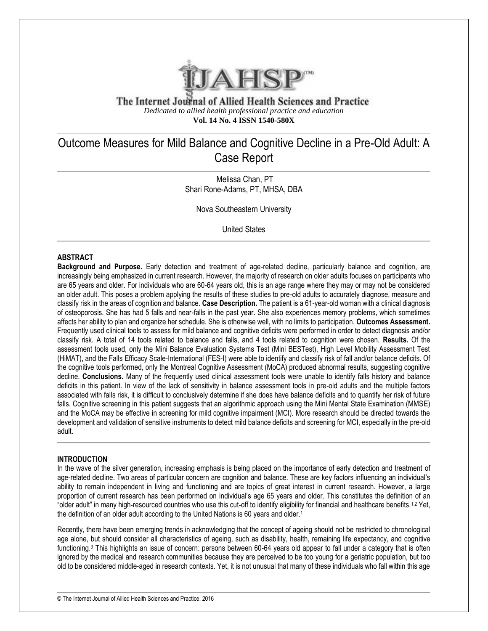

The Internet Journal of Allied Health Sciences and Practice *Dedicated to allied health professional practice and education* **Vol. 14 No. 4 ISSN 1540-580X**

## Outcome Measures for Mild Balance and Cognitive Decline in a Pre-Old Adult: A Case Report

Melissa Chan, PT Shari Rone-Adams, PT, MHSA, DBA

Nova Southeastern University

United States

#### **ABSTRACT**

**Background and Purpose.** Early detection and treatment of age-related decline, particularly balance and cognition, are increasingly being emphasized in current research. However, the majority of research on older adults focuses on participants who are 65 years and older. For individuals who are 60-64 years old, this is an age range where they may or may not be considered an older adult. This poses a problem applying the results of these studies to pre-old adults to accurately diagnose, measure and classify risk in the areas of cognition and balance. **Case Description.** The patient is a 61-year-old woman with a clinical diagnosis of osteoporosis. She has had 5 falls and near-falls in the past year. She also experiences memory problems, which sometimes affects her ability to plan and organize her schedule. She is otherwise well, with no limits to participation. **Outcomes Assessment.** Frequently used clinical tools to assess for mild balance and cognitive deficits were performed in order to detect diagnosis and/or classify risk. A total of 14 tools related to balance and falls, and 4 tools related to cognition were chosen. **Results.** Of the assessment tools used, only the Mini Balance Evaluation Systems Test (Mini BESTest), High Level Mobility Assessment Test (HiMAT), and the Falls Efficacy Scale-International (FES-I) were able to identify and classify risk of fall and/or balance deficits. Of the cognitive tools performed, only the Montreal Cognitive Assessment (MoCA) produced abnormal results, suggesting cognitive decline. **Conclusions.** Many of the frequently used clinical assessment tools were unable to identify falls history and balance deficits in this patient. In view of the lack of sensitivity in balance assessment tools in pre-old adults and the multiple factors associated with falls risk, it is difficult to conclusively determine if she does have balance deficits and to quantify her risk of future falls. Cognitive screening in this patient suggests that an algorithmic approach using the Mini Mental State Examination (MMSE) and the MoCA may be effective in screening for mild cognitive impairment (MCI). More research should be directed towards the development and validation of sensitive instruments to detect mild balance deficits and screening for MCI, especially in the pre-old adult.

#### **INTRODUCTION**

In the wave of the silver generation, increasing emphasis is being placed on the importance of early detection and treatment of age-related decline. Two areas of particular concern are cognition and balance. These are key factors influencing an individual's ability to remain independent in living and functioning and are topics of great interest in current research. However, a large proportion of current research has been performed on individual's age 65 years and older. This constitutes the definition of an "older adult" in many high-resourced countries who use this cut-off to identify eligibility for financial and healthcare benefits.1,2 Yet, the definition of an older adult according to the United Nations is 60 years and older.<sup>1</sup>

Recently, there have been emerging trends in acknowledging that the concept of ageing should not be restricted to chronological age alone, but should consider all characteristics of ageing, such as disability, health, remaining life expectancy, and cognitive functioning.<sup>3</sup> This highlights an issue of concern: persons between 60-64 years old appear to fall under a category that is often ignored by the medical and research communities because they are perceived to be too young for a geriatric population, but too old to be considered middle-aged in research contexts. Yet, it is not unusual that many of these individuals who fall within this age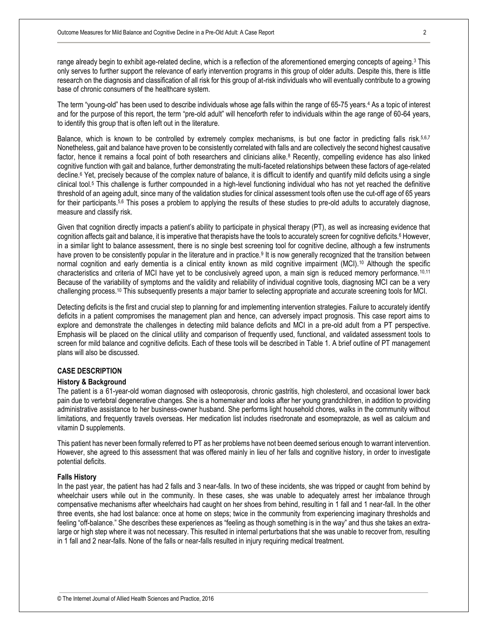range already begin to exhibit age-related decline, which is a reflection of the aforementioned emerging concepts of ageing.<sup>3</sup> This only serves to further support the relevance of early intervention programs in this group of older adults. Despite this, there is little research on the diagnosis and classification of all risk for this group of at-risk individuals who will eventually contribute to a growing base of chronic consumers of the healthcare system.

The term "young-old" has been used to describe individuals whose age falls within the range of 65-75 years.<sup>4</sup> As a topic of interest and for the purpose of this report, the term "pre-old adult" will henceforth refer to individuals within the age range of 60-64 years, to identify this group that is often left out in the literature.

Balance, which is known to be controlled by extremely complex mechanisms, is but one factor in predicting falls risk.<sup>5,6,7</sup> Nonetheless, gait and balance have proven to be consistently correlated with falls and are collectively the second highest causative factor, hence it remains a focal point of both researchers and clinicians alike.<sup>8</sup> Recently, compelling evidence has also linked cognitive function with gait and balance, further demonstrating the multi-faceted relationships between these factors of age-related decline.<sup>6</sup> Yet, precisely because of the complex nature of balance, it is difficult to identify and quantify mild deficits using a single clinical tool.<sup>5</sup> This challenge is further compounded in a high-level functioning individual who has not yet reached the definitive threshold of an ageing adult, since many of the validation studies for clinical assessment tools often use the cut-off age of 65 years for their participants.<sup>5,6</sup> This poses a problem to applying the results of these studies to pre-old adults to accurately diagnose, measure and classify risk.

Given that cognition directly impacts a patient's ability to participate in physical therapy (PT), as well as increasing evidence that cognition affects gait and balance, it is imperative that therapists have the tools to accurately screen for cognitive deficits.<sup>6</sup> However, in a similar light to balance assessment, there is no single best screening tool for cognitive decline, although a few instruments have proven to be consistently popular in the literature and in practice.<sup>9</sup> It is now generally recognized that the transition between normal cognition and early dementia is a clinical entity known as mild cognitive impairment (MCI).<sup>10</sup> Although the specific characteristics and criteria of MCI have yet to be conclusively agreed upon, a main sign is reduced memory performance.10,11 Because of the variability of symptoms and the validity and reliability of individual cognitive tools, diagnosing MCI can be a very challenging process.<sup>10</sup> This subsequently presents a major barrier to selecting appropriate and accurate screening tools for MCI.

Detecting deficits is the first and crucial step to planning for and implementing intervention strategies. Failure to accurately identify deficits in a patient compromises the management plan and hence, can adversely impact prognosis. This case report aims to explore and demonstrate the challenges in detecting mild balance deficits and MCI in a pre-old adult from a PT perspective. Emphasis will be placed on the clinical utility and comparison of frequently used, functional, and validated assessment tools to screen for mild balance and cognitive deficits. Each of these tools will be described in Table 1. A brief outline of PT management plans will also be discussed.

#### **CASE DESCRIPTION**

#### **History & Background**

The patient is a 61-year-old woman diagnosed with osteoporosis, chronic gastritis, high cholesterol, and occasional lower back pain due to vertebral degenerative changes. She is a homemaker and looks after her young grandchildren, in addition to providing administrative assistance to her business-owner husband. She performs light household chores, walks in the community without limitations, and frequently travels overseas. Her medication list includes risedronate and esomeprazole, as well as calcium and vitamin D supplements.

This patient has never been formally referred to PT as her problems have not been deemed serious enough to warrant intervention. However, she agreed to this assessment that was offered mainly in lieu of her falls and cognitive history, in order to investigate potential deficits.

#### **Falls History**

In the past year, the patient has had 2 falls and 3 near-falls. In two of these incidents, she was tripped or caught from behind by wheelchair users while out in the community. In these cases, she was unable to adequately arrest her imbalance through compensative mechanisms after wheelchairs had caught on her shoes from behind, resulting in 1 fall and 1 near-fall. In the other three events, she had lost balance: once at home on steps; twice in the community from experiencing imaginary thresholds and feeling "off-balance." She describes these experiences as "feeling as though something is in the way" and thus she takes an extralarge or high step where it was not necessary. This resulted in internal perturbations that she was unable to recover from, resulting in 1 fall and 2 near-falls. None of the falls or near-falls resulted in injury requiring medical treatment.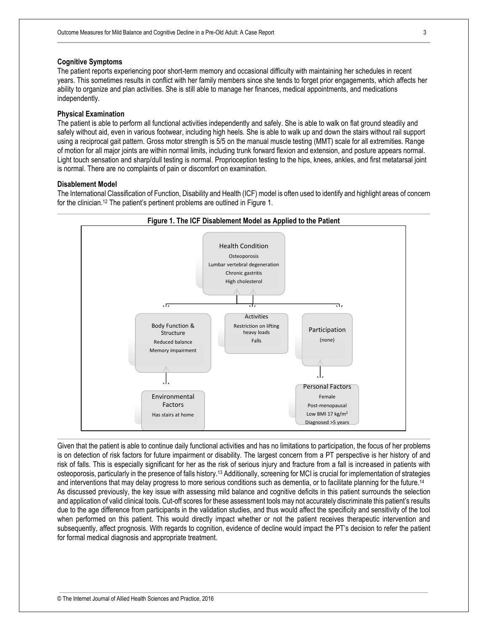#### **Cognitive Symptoms**

The patient reports experiencing poor short-term memory and occasional difficulty with maintaining her schedules in recent years. This sometimes results in conflict with her family members since she tends to forget prior engagements, which affects her ability to organize and plan activities. She is still able to manage her finances, medical appointments, and medications independently.

#### **Physical Examination**

The patient is able to perform all functional activities independently and safely. She is able to walk on flat ground steadily and safely without aid, even in various footwear, including high heels. She is able to walk up and down the stairs without rail support using a reciprocal gait pattern. Gross motor strength is 5/5 on the manual muscle testing (MMT) scale for all extremities. Range of motion for all major joints are within normal limits, including trunk forward flexion and extension, and posture appears normal. Light touch sensation and sharp/dull testing is normal. Proprioception testing to the hips, knees, ankles, and first metatarsal joint is normal. There are no complaints of pain or discomfort on examination.

#### **Disablement Model**

The International Classification of Function, Disability and Health (ICF) model is often used to identify and highlight areas of concern for the clinician.<sup>12</sup> The patient's pertinent problems are outlined in Figure 1.



Given that the patient is able to continue daily functional activities and has no limitations to participation, the focus of her problems is on detection of risk factors for future impairment or disability. The largest concern from a PT perspective is her history of and risk of falls. This is especially significant for her as the risk of serious injury and fracture from a fall is increased in patients with osteoporosis, particularly in the presence of falls history.<sup>13</sup> Additionally, screening for MCI is crucial for implementation of strategies and interventions that may delay progress to more serious conditions such as dementia, or to facilitate planning for the future.<sup>14</sup> As discussed previously, the key issue with assessing mild balance and cognitive deficits in this patient surrounds the selection and application of valid clinical tools. Cut-off scores for these assessment tools may not accurately discriminate this patient's results due to the age difference from participants in the validation studies, and thus would affect the specificity and sensitivity of the tool when performed on this patient. This would directly impact whether or not the patient receives therapeutic intervention and subsequently, affect prognosis. With regards to cognition, evidence of decline would impact the PT's decision to refer the patient for formal medical diagnosis and appropriate treatment.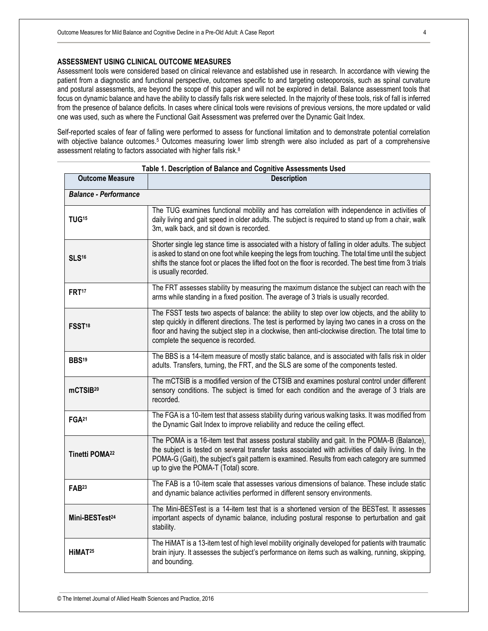### **ASSESSMENT USING CLINICAL OUTCOME MEASURES**

Assessment tools were considered based on clinical relevance and established use in research. In accordance with viewing the patient from a diagnostic and functional perspective, outcomes specific to and targeting osteoporosis, such as spinal curvature and postural assessments, are beyond the scope of this paper and will not be explored in detail. Balance assessment tools that focus on dynamic balance and have the ability to classify falls risk were selected. In the majority of these tools, risk of fall is inferred from the presence of balance deficits. In cases where clinical tools were revisions of previous versions, the more updated or valid one was used, such as where the Functional Gait Assessment was preferred over the Dynamic Gait Index.

Self-reported scales of fear of falling were performed to assess for functional limitation and to demonstrate potential correlation with objective balance outcomes.<sup>5</sup> Outcomes measuring lower limb strength were also included as part of a comprehensive assessment relating to factors associated with higher falls risk.<sup>8</sup>

| Table 1. Description of Balance and Cognitive Assessments Used |                                                                                                                                                                                                                                                                                                                                                  |  |  |  |  |
|----------------------------------------------------------------|--------------------------------------------------------------------------------------------------------------------------------------------------------------------------------------------------------------------------------------------------------------------------------------------------------------------------------------------------|--|--|--|--|
| <b>Outcome Measure</b>                                         | <b>Description</b>                                                                                                                                                                                                                                                                                                                               |  |  |  |  |
| <b>Balance - Performance</b>                                   |                                                                                                                                                                                                                                                                                                                                                  |  |  |  |  |
| TUG <sub>15</sub>                                              | The TUG examines functional mobility and has correlation with independence in activities of<br>daily living and gait speed in older adults. The subject is required to stand up from a chair, walk<br>3m, walk back, and sit down is recorded.                                                                                                   |  |  |  |  |
| <b>SLS16</b>                                                   | Shorter single leg stance time is associated with a history of falling in older adults. The subject<br>is asked to stand on one foot while keeping the legs from touching. The total time until the subject<br>shifts the stance foot or places the lifted foot on the floor is recorded. The best time from 3 trials<br>is usually recorded.    |  |  |  |  |
| <b>FRT17</b>                                                   | The FRT assesses stability by measuring the maximum distance the subject can reach with the<br>arms while standing in a fixed position. The average of 3 trials is usually recorded.                                                                                                                                                             |  |  |  |  |
| FSST <sup>18</sup>                                             | The FSST tests two aspects of balance: the ability to step over low objects, and the ability to<br>step quickly in different directions. The test is performed by laying two canes in a cross on the<br>floor and having the subject step in a clockwise, then anti-clockwise direction. The total time to<br>complete the sequence is recorded. |  |  |  |  |
| BBS <sup>19</sup>                                              | The BBS is a 14-item measure of mostly static balance, and is associated with falls risk in older<br>adults. Transfers, turning, the FRT, and the SLS are some of the components tested.                                                                                                                                                         |  |  |  |  |
| mCTSIB <sup>20</sup>                                           | The mCTSIB is a modified version of the CTSIB and examines postural control under different<br>sensory conditions. The subject is timed for each condition and the average of 3 trials are<br>recorded.                                                                                                                                          |  |  |  |  |
| FGA <sup>21</sup>                                              | The FGA is a 10-item test that assess stability during various walking tasks. It was modified from<br>the Dynamic Gait Index to improve reliability and reduce the ceiling effect.                                                                                                                                                               |  |  |  |  |
| <b>Tinetti POMA<sup>22</sup></b>                               | The POMA is a 16-item test that assess postural stability and gait. In the POMA-B (Balance),<br>the subject is tested on several transfer tasks associated with activities of daily living. In the<br>POMA-G (Gait), the subject's gait pattern is examined. Results from each category are summed<br>up to give the POMA-T (Total) score.       |  |  |  |  |
| FAB <sup>23</sup>                                              | The FAB is a 10-item scale that assesses various dimensions of balance. These include static<br>and dynamic balance activities performed in different sensory environments.                                                                                                                                                                      |  |  |  |  |
| Mini-BESTest <sup>24</sup>                                     | The Mini-BESTest is a 14-item test that is a shortened version of the BESTest. It assesses<br>important aspects of dynamic balance, including postural response to perturbation and gait<br>stability.                                                                                                                                           |  |  |  |  |
| HIMAT <sup>25</sup>                                            | The HiMAT is a 13-item test of high level mobility originally developed for patients with traumatic<br>brain injury. It assesses the subject's performance on items such as walking, running, skipping,<br>and bounding.                                                                                                                         |  |  |  |  |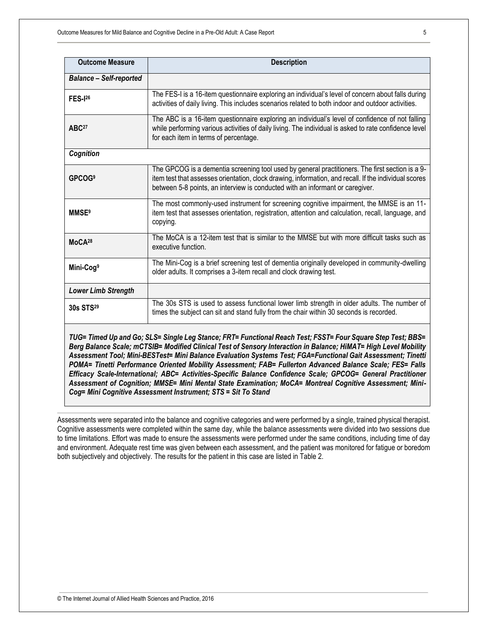| <b>Outcome Measure</b>                                                                                                                                                                                                                                                                                                                                                                                                                                                                                                                                                                                                                                                                                                                                    | <b>Description</b>                                                                                                                                                                                                                                                                        |  |  |  |
|-----------------------------------------------------------------------------------------------------------------------------------------------------------------------------------------------------------------------------------------------------------------------------------------------------------------------------------------------------------------------------------------------------------------------------------------------------------------------------------------------------------------------------------------------------------------------------------------------------------------------------------------------------------------------------------------------------------------------------------------------------------|-------------------------------------------------------------------------------------------------------------------------------------------------------------------------------------------------------------------------------------------------------------------------------------------|--|--|--|
| Balance - Self-reported                                                                                                                                                                                                                                                                                                                                                                                                                                                                                                                                                                                                                                                                                                                                   |                                                                                                                                                                                                                                                                                           |  |  |  |
| <b>FES-126</b>                                                                                                                                                                                                                                                                                                                                                                                                                                                                                                                                                                                                                                                                                                                                            | The FES-I is a 16-item questionnaire exploring an individual's level of concern about falls during<br>activities of daily living. This includes scenarios related to both indoor and outdoor activities.                                                                                  |  |  |  |
| ABC <sup>27</sup>                                                                                                                                                                                                                                                                                                                                                                                                                                                                                                                                                                                                                                                                                                                                         | The ABC is a 16-item questionnaire exploring an individual's level of confidence of not falling<br>while performing various activities of daily living. The individual is asked to rate confidence level<br>for each item in terms of percentage.                                         |  |  |  |
| Cognition                                                                                                                                                                                                                                                                                                                                                                                                                                                                                                                                                                                                                                                                                                                                                 |                                                                                                                                                                                                                                                                                           |  |  |  |
| <b>GPCOG</b> <sup>9</sup>                                                                                                                                                                                                                                                                                                                                                                                                                                                                                                                                                                                                                                                                                                                                 | The GPCOG is a dementia screening tool used by general practitioners. The first section is a 9-<br>item test that assesses orientation, clock drawing, information, and recall. If the individual scores<br>between 5-8 points, an interview is conducted with an informant or caregiver. |  |  |  |
| <b>MMSE<sup>9</sup></b>                                                                                                                                                                                                                                                                                                                                                                                                                                                                                                                                                                                                                                                                                                                                   | The most commonly-used instrument for screening cognitive impairment, the MMSE is an 11-<br>item test that assesses orientation, registration, attention and calculation, recall, language, and<br>copying.                                                                               |  |  |  |
| MoCA <sup>28</sup>                                                                                                                                                                                                                                                                                                                                                                                                                                                                                                                                                                                                                                                                                                                                        | The MoCA is a 12-item test that is similar to the MMSE but with more difficult tasks such as<br>executive function.                                                                                                                                                                       |  |  |  |
| Mini-Cog <sup>9</sup>                                                                                                                                                                                                                                                                                                                                                                                                                                                                                                                                                                                                                                                                                                                                     | The Mini-Cog is a brief screening test of dementia originally developed in community-dwelling<br>older adults. It comprises a 3-item recall and clock drawing test.                                                                                                                       |  |  |  |
| <b>Lower Limb Strength</b>                                                                                                                                                                                                                                                                                                                                                                                                                                                                                                                                                                                                                                                                                                                                |                                                                                                                                                                                                                                                                                           |  |  |  |
| 30s STS <sup>29</sup>                                                                                                                                                                                                                                                                                                                                                                                                                                                                                                                                                                                                                                                                                                                                     | The 30s STS is used to assess functional lower limb strength in older adults. The number of<br>times the subject can sit and stand fully from the chair within 30 seconds is recorded.                                                                                                    |  |  |  |
| TUG= Timed Up and Go; SLS= Single Leg Stance; FRT= Functional Reach Test; FSST= Four Square Step Test; BBS=<br>Berg Balance Scale; mCTSIB= Modified Clinical Test of Sensory Interaction in Balance; HiMAT= High Level Mobility<br>Assessment Tool; Mini-BESTest= Mini Balance Evaluation Systems Test; FGA=Functional Gait Assessment; Tinetti<br>POMA= Tinetti Performance Oriented Mobility Assessment; FAB= Fullerton Advanced Balance Scale; FES= Falls<br>Efficacy Scale-International; ABC= Activities-Specific Balance Confidence Scale; GPCOG= General Practitioner<br>Assessment of Cognition; MMSE= Mini Mental State Examination; MoCA= Montreal Cognitive Assessment; Mini-<br>Cog= Mini Cognitive Assessment Instrument; STS = Sit To Stand |                                                                                                                                                                                                                                                                                           |  |  |  |

Assessments were separated into the balance and cognitive categories and were performed by a single, trained physical therapist. Cognitive assessments were completed within the same day, while the balance assessments were divided into two sessions due to time limitations. Effort was made to ensure the assessments were performed under the same conditions, including time of day and environment. Adequate rest time was given between each assessment, and the patient was monitored for fatigue or boredom both subjectively and objectively. The results for the patient in this case are listed in Table 2.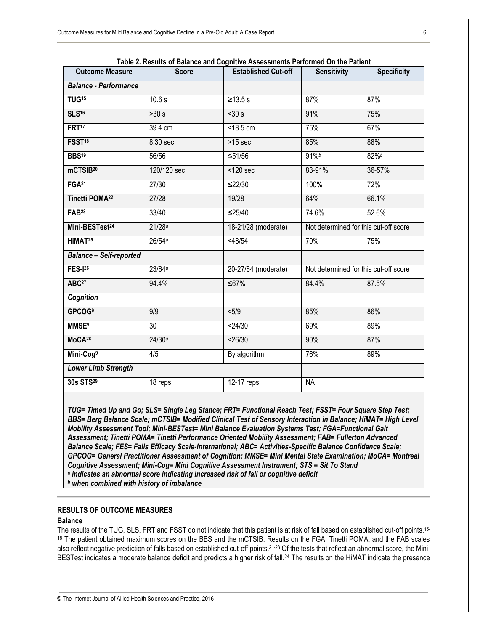| <b>Outcome Measure</b>         | <b>Score</b> | Table 2. Results of Dalance and Obymine Assessments Ferromned On the Fatient<br><b>Established Cut-off</b> | <b>Sensitivity</b>                    | <b>Specificity</b> |
|--------------------------------|--------------|------------------------------------------------------------------------------------------------------------|---------------------------------------|--------------------|
| <b>Balance - Performance</b>   |              |                                                                                                            |                                       |                    |
| TUG <sup>15</sup>              | 10.6 s       | $\geq 13.5$ s                                                                                              | 87%                                   | 87%                |
| <b>SLS16</b>                   | >30 s        | $30 s$                                                                                                     | 91%                                   | 75%                |
| FRT <sup>17</sup>              | 39.4 cm      | $<$ 18.5 cm                                                                                                | 75%                                   | 67%                |
| FSST <sup>18</sup>             | 8.30 sec     | $>15$ sec                                                                                                  | 85%                                   | 88%                |
| BBS <sup>19</sup>              | 56/56        | ≤51/56                                                                                                     | 91%                                   | $82\%$             |
| mCTSIB <sup>20</sup>           | 120/120 sec  | <120 sec                                                                                                   | 83-91%                                | 36-57%             |
| FGA <sup>21</sup>              | 27/30        | $\leq$ 22/30                                                                                               | 100%                                  | 72%                |
| <b>Tinetti POMA22</b>          | 27/28        | 19/28                                                                                                      | 64%                                   | 66.1%              |
| FAB <sup>23</sup>              | 33/40        | $\leq$ 25/40                                                                                               | 74.6%                                 | 52.6%              |
| Mini-BESTest <sup>24</sup>     | 21/28a       | 18-21/28 (moderate)                                                                                        | Not determined for this cut-off score |                    |
| HiMAT <sup>25</sup>            | 26/54a       | $<$ 48/54                                                                                                  | 70%                                   | 75%                |
| <b>Balance - Self-reported</b> |              |                                                                                                            |                                       |                    |
| <b>FES-126</b>                 | 23/64a       | 20-27/64 (moderate)                                                                                        | Not determined for this cut-off score |                    |
| ABC <sup>27</sup>              | 94.4%        | $≤67%$                                                                                                     | 84.4%                                 | 87.5%              |
| Cognition                      |              |                                                                                                            |                                       |                    |
| <b>GPCOG</b> <sup>9</sup>      | 9/9          | 5/9                                                                                                        | 85%                                   | 86%                |
| <b>MMSE<sup>9</sup></b>        | 30           | 24/30                                                                                                      | 69%                                   | 89%                |
| MoCA <sup>28</sup>             | 24/30a       | < 26/30                                                                                                    | 90%                                   | 87%                |
| Mini-Cog <sup>9</sup>          | 4/5          | By algorithm                                                                                               | 76%                                   | 89%                |
| Lower Limb Strength            |              |                                                                                                            |                                       |                    |
| 30s STS <sup>29</sup>          | 18 reps      | 12-17 reps                                                                                                 | <b>NA</b>                             |                    |

**Table 2. Results of Balance and Cognitive Assessments Performed On the Patient**

*TUG= Timed Up and Go; SLS= Single Leg Stance; FRT= Functional Reach Test; FSST= Four Square Step Test; BBS= Berg Balance Scale; mCTSIB= Modified Clinical Test of Sensory Interaction in Balance; HiMAT= High Level Mobility Assessment Tool; Mini-BESTest= Mini Balance Evaluation Systems Test; FGA=Functional Gait Assessment; Tinetti POMA= Tinetti Performance Oriented Mobility Assessment; FAB= Fullerton Advanced Balance Scale; FES= Falls Efficacy Scale-International; ABC= Activities-Specific Balance Confidence Scale; GPCOG= General Practitioner Assessment of Cognition; MMSE= Mini Mental State Examination; MoCA= Montreal Cognitive Assessment; Mini-Cog= Mini Cognitive Assessment Instrument; STS = Sit To Stand a indicates an abnormal score indicating increased risk of fall or cognitive deficit*

*<sup>b</sup> when combined with history of imbalance*

## **RESULTS OF OUTCOME MEASURES**

#### **Balance**

The results of the TUG, SLS, FRT and FSST do not indicate that this patient is at risk of fall based on established cut-off points.15- 18 The patient obtained maximum scores on the BBS and the mCTSIB. Results on the FGA, Tinetti POMA, and the FAB scales also reflect negative prediction of falls based on established cut-off points.<sup>21-23</sup> Of the tests that reflect an abnormal score, the Mini-BESTest indicates a moderate balance deficit and predicts a higher risk of fall.<sup>24</sup> The results on the HiMAT indicate the presence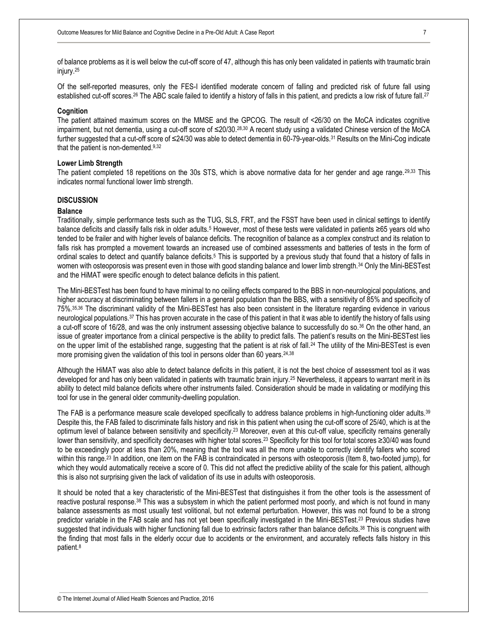of balance problems as it is well below the cut-off score of 47, although this has only been validated in patients with traumatic brain injury.<sup>25</sup>

Of the self-reported measures, only the FES-I identified moderate concern of falling and predicted risk of future fall using established cut-off scores.<sup>26</sup> The ABC scale failed to identify a history of falls in this patient, and predicts a low risk of future fall.<sup>27</sup>

#### **Cognition**

The patient attained maximum scores on the MMSE and the GPCOG. The result of <26/30 on the MoCA indicates cognitive impairment, but not dementia, using a cut-off score of ≤20/30.28,30 A recent study using a validated Chinese version of the MoCA further suggested that a cut-off score of ≤24/30 was able to detect dementia in 60-79-year-olds.<sup>31</sup> Results on the Mini-Cog indicate that the patient is non-demented.9,32

#### **Lower Limb Strength**

The patient completed 18 repetitions on the 30s STS, which is above normative data for her gender and age range.29,33 This indicates normal functional lower limb strength.

#### **DISCUSSION**

#### **Balance**

Traditionally, simple performance tests such as the TUG, SLS, FRT, and the FSST have been used in clinical settings to identify balance deficits and classify falls risk in older adults.<sup>5</sup> However, most of these tests were validated in patients ≥65 years old who tended to be frailer and with higher levels of balance deficits. The recognition of balance as a complex construct and its relation to falls risk has prompted a movement towards an increased use of combined assessments and batteries of tests in the form of ordinal scales to detect and quantify balance deficits.<sup>5</sup> This is supported by a previous study that found that a history of falls in women with osteoporosis was present even in those with good standing balance and lower limb strength.<sup>34</sup> Only the Mini-BESTest and the HiMAT were specific enough to detect balance deficits in this patient.

The Mini-BESTest has been found to have minimal to no ceiling effects compared to the BBS in non-neurological populations, and higher accuracy at discriminating between fallers in a general population than the BBS, with a sensitivity of 85% and specificity of 75%.35,36 The discriminant validity of the Mini-BESTest has also been consistent in the literature regarding evidence in various neurological populations.<sup>37</sup> This has proven accurate in the case of this patient in that it was able to identify the history of falls using a cut-off score of 16/28, and was the only instrument assessing objective balance to successfully do so.<sup>36</sup> On the other hand, an issue of greater importance from a clinical perspective is the ability to predict falls. The patient's results on the Mini-BESTest lies on the upper limit of the established range, suggesting that the patient is at risk of fall.<sup>24</sup> The utility of the Mini-BESTest is even more promising given the validation of this tool in persons older than 60 years.<sup>24,38</sup>

Although the HiMAT was also able to detect balance deficits in this patient, it is not the best choice of assessment tool as it was developed for and has only been validated in patients with traumatic brain injury.<sup>25</sup> Nevertheless, it appears to warrant merit in its ability to detect mild balance deficits where other instruments failed. Consideration should be made in validating or modifying this tool for use in the general older community-dwelling population.

The FAB is a performance measure scale developed specifically to address balance problems in high-functioning older adults.<sup>39</sup> Despite this, the FAB failed to discriminate falls history and risk in this patient when using the cut-off score of 25/40, which is at the optimum level of balance between sensitivity and specificity.<sup>23</sup> Moreover, even at this cut-off value, specificity remains generally lower than sensitivity, and specificity decreases with higher total scores.<sup>23</sup> Specificity for this tool for total scores ≥30/40 was found to be exceedingly poor at less than 20%, meaning that the tool was all the more unable to correctly identify fallers who scored within this range.<sup>23</sup> In addition, one item on the FAB is contraindicated in persons with osteoporosis (Item 8, two-footed jump), for which they would automatically receive a score of 0. This did not affect the predictive ability of the scale for this patient, although this is also not surprising given the lack of validation of its use in adults with osteoporosis.

It should be noted that a key characteristic of the Mini-BESTest that distinguishes it from the other tools is the assessment of reactive postural response.<sup>38</sup> This was a subsystem in which the patient performed most poorly, and which is not found in many balance assessments as most usually test volitional, but not external perturbation. However, this was not found to be a strong predictor variable in the FAB scale and has not yet been specifically investigated in the Mini-BESTest.<sup>23</sup> Previous studies have suggested that individuals with higher functioning fall due to extrinsic factors rather than balance deficits.<sup>38</sup> This is congruent with the finding that most falls in the elderly occur due to accidents or the environment, and accurately reflects falls history in this patient.8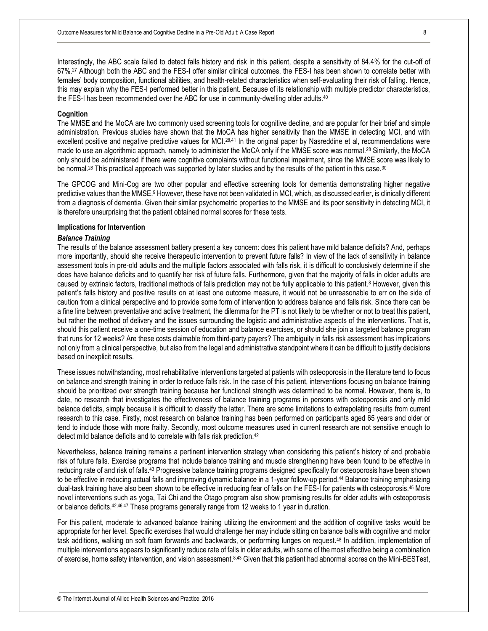Interestingly, the ABC scale failed to detect falls history and risk in this patient, despite a sensitivity of 84.4% for the cut-off of 67%.<sup>27</sup> Although both the ABC and the FES-I offer similar clinical outcomes, the FES-I has been shown to correlate better with females' body composition, functional abilities, and health-related characteristics when self-evaluating their risk of falling. Hence, this may explain why the FES-I performed better in this patient. Because of its relationship with multiple predictor characteristics, the FES-I has been recommended over the ABC for use in community-dwelling older adults.<sup>40</sup>

#### **Cognition**

The MMSE and the MoCA are two commonly used screening tools for cognitive decline, and are popular for their brief and simple administration. Previous studies have shown that the MoCA has higher sensitivity than the MMSE in detecting MCI, and with excellent positive and negative predictive values for MCI.<sup>28,41</sup> In the original paper by Nasreddine et al, recommendations were made to use an algorithmic approach, namely to administer the MoCA only if the MMSE score was normal.<sup>28</sup> Similarly, the MoCA only should be administered if there were cognitive complaints without functional impairment, since the MMSE score was likely to be normal.<sup>28</sup> This practical approach was supported by later studies and by the results of the patient in this case.<sup>30</sup>

The GPCOG and Mini-Cog are two other popular and effective screening tools for dementia demonstrating higher negative predictive values than the MMSE.<sup>9</sup> However, these have not been validated in MCI, which, as discussed earlier, is clinically different from a diagnosis of dementia. Given their similar psychometric properties to the MMSE and its poor sensitivity in detecting MCI, it is therefore unsurprising that the patient obtained normal scores for these tests.

#### **Implications for Intervention**

#### *Balance Training*

The results of the balance assessment battery present a key concern: does this patient have mild balance deficits? And, perhaps more importantly, should she receive therapeutic intervention to prevent future falls? In view of the lack of sensitivity in balance assessment tools in pre-old adults and the multiple factors associated with falls risk, it is difficult to conclusively determine if she does have balance deficits and to quantify her risk of future falls. Furthermore, given that the majority of falls in older adults are caused by extrinsic factors, traditional methods of falls prediction may not be fully applicable to this patient.<sup>8</sup> However, given this patient's falls history and positive results on at least one outcome measure, it would not be unreasonable to err on the side of caution from a clinical perspective and to provide some form of intervention to address balance and falls risk. Since there can be a fine line between preventative and active treatment, the dilemma for the PT is not likely to be whether or not to treat this patient, but rather the method of delivery and the issues surrounding the logistic and administrative aspects of the interventions. That is, should this patient receive a one-time session of education and balance exercises, or should she join a targeted balance program that runs for 12 weeks? Are these costs claimable from third-party payers? The ambiguity in falls risk assessment has implications not only from a clinical perspective, but also from the legal and administrative standpoint where it can be difficult to justify decisions based on inexplicit results.

These issues notwithstanding, most rehabilitative interventions targeted at patients with osteoporosis in the literature tend to focus on balance and strength training in order to reduce falls risk. In the case of this patient, interventions focusing on balance training should be prioritized over strength training because her functional strength was determined to be normal. However, there is, to date, no research that investigates the effectiveness of balance training programs in persons with osteoporosis and only mild balance deficits, simply because it is difficult to classify the latter. There are some limitations to extrapolating results from current research to this case. Firstly, most research on balance training has been performed on participants aged 65 years and older or tend to include those with more frailty. Secondly, most outcome measures used in current research are not sensitive enough to detect mild balance deficits and to correlate with falls risk prediction.<sup>42</sup>

Nevertheless, balance training remains a pertinent intervention strategy when considering this patient's history of and probable risk of future falls. Exercise programs that include balance training and muscle strengthening have been found to be effective in reducing rate of and risk of falls.<sup>43</sup> Progressive balance training programs designed specifically for osteoporosis have been shown to be effective in reducing actual falls and improving dynamic balance in a 1-year follow-up period. <sup>44</sup> Balance training emphasizing dual-task training have also been shown to be effective in reducing fear of falls on the FES-I for patients with osteoporosis.<sup>45</sup> More novel interventions such as yoga, Tai Chi and the Otago program also show promising results for older adults with osteoporosis or balance deficits.42,46,47 These programs generally range from 12 weeks to 1 year in duration.

For this patient, moderate to advanced balance training utilizing the environment and the addition of cognitive tasks would be appropriate for her level. Specific exercises that would challenge her may include sitting on balance balls with cognitive and motor task additions, walking on soft foam forwards and backwards, or performing lunges on request.<sup>48</sup> In addition, implementation of multiple interventions appears to significantly reduce rate of falls in older adults, with some of the most effective being a combination of exercise, home safety intervention, and vision assessment.8,43 Given that this patient had abnormal scores on the Mini-BESTest,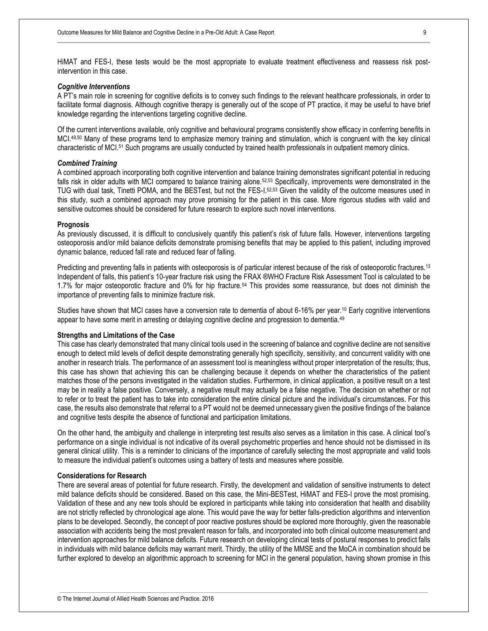HiMAT and FES-I, these tests would be the most appropriate to evaluate treatment effectiveness and reassess risk postintervention in this case.

#### *Cognitive Interventions*

A PT's main role in screening for cognitive deficits is to convey such findings to the relevant healthcare professionals, in order to facilitate formal diagnosis. Although cognitive therapy is generally out of the scope of PT practice, it may be useful to have brief knowledge regarding the interventions targeting cognitive decline.

Of the current interventions available, only cognitive and behavioural programs consistently show efficacy in conferring benefits in MCI.49,50 Many of these programs tend to emphasize memory training and stimulation, which is congruent with the key clinical characteristic of MCI.<sup>51</sup> Such programs are usually conducted by trained health professionals in outpatient memory clinics.

#### *Combined Training*

A combined approach incorporating both cognitive intervention and balance training demonstrates significant potential in reducing falls risk in older adults with MCI compared to balance training alone.<sup>52,53</sup> Specifically, improvements were demonstrated in the TUG with dual task, Tinetti POMA, and the BESTest, but not the FES-I.52,53 Given the validity of the outcome measures used in this study, such a combined approach may prove promising for the patient in this case. More rigorous studies with valid and sensitive outcomes should be considered for future research to explore such novel interventions.

#### **Prognosis**

As previously discussed, it is difficult to conclusively quantify this patient's risk of future falls. However, interventions targeting osteoporosis and/or mild balance deficits demonstrate promising benefits that may be applied to this patient, including improved dynamic balance, reduced fall rate and reduced fear of falling.

Predicting and preventing falls in patients with osteoporosis is of particular interest because of the risk of osteoporotic fractures.<sup>13</sup> Independent of falls, this patient's 10-year fracture risk using the FRAX ®WHO Fracture Risk Assessment Tool is calculated to be 1.7% for major osteoporotic fracture and 0% for hip fracture.<sup>54</sup> This provides some reassurance, but does not diminish the importance of preventing falls to minimize fracture risk.

Studies have shown that MCI cases have a conversion rate to dementia of about 6-16% per year.<sup>10</sup> Early cognitive interventions appear to have some merit in arresting or delaying cognitive decline and progression to dementia.<sup>49</sup>

#### **Strengths and Limitations of the Case**

This case has clearly demonstrated that many clinical tools used in the screening of balance and cognitive decline are not sensitive enough to detect mild levels of deficit despite demonstrating generally high specificity, sensitivity, and concurrent validity with one another in research trials. The performance of an assessment tool is meaningless without proper interpretation of the results; thus, this case has shown that achieving this can be challenging because it depends on whether the characteristics of the patient matches those of the persons investigated in the validation studies. Furthermore, in clinical application, a positive result on a test may be in reality a false positive. Conversely, a negative result may actually be a false negative. The decision on whether or not to refer or to treat the patient has to take into consideration the entire clinical picture and the individual's circumstances. For this case, the results also demonstrate that referral to a PT would not be deemed unnecessary given the positive findings of the balance and cognitive tests despite the absence of functional and participation limitations.

On the other hand, the ambiguity and challenge in interpreting test results also serves as a limitation in this case. A clinical tool's performance on a single individual is not indicative of its overall psychometric properties and hence should not be dismissed in its general clinical utility. This is a reminder to clinicians of the importance of carefully selecting the most appropriate and valid tools to measure the individual patient's outcomes using a battery of tests and measures where possible.

#### **Considerations for Research**

There are several areas of potential for future research. Firstly, the development and validation of sensitive instruments to detect mild balance deficits should be considered. Based on this case, the Mini-BESTest, HiMAT and FES-I prove the most promising. Validation of these and any new tools should be explored in participants while taking into consideration that health and disability are not strictly reflected by chronological age alone. This would pave the way for better falls-prediction algorithms and intervention plans to be developed. Secondly, the concept of poor reactive postures should be explored more thoroughly, given the reasonable association with accidents being the most prevalent reason for falls, and incorporated into both clinical outcome measurement and intervention approaches for mild balance deficits. Future research on developing clinical tests of postural responses to predict falls in individuals with mild balance deficits may warrant merit. Thirdly, the utility of the MMSE and the MoCA in combination should be further explored to develop an algorithmic approach to screening for MCI in the general population, having shown promise in this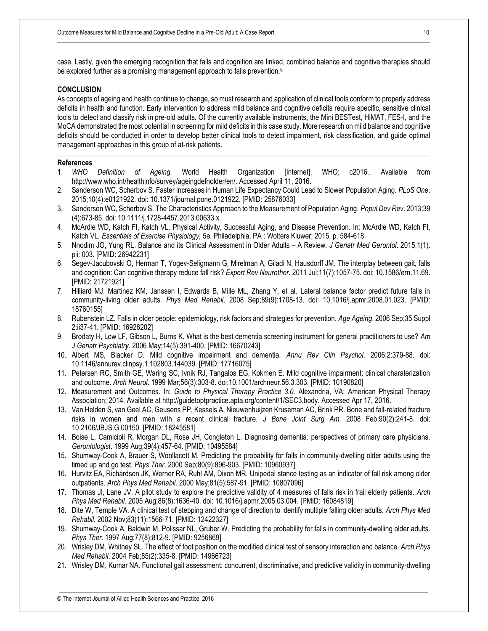case. Lastly, given the emerging recognition that falls and cognition are linked, combined balance and cognitive therapies should be explored further as a promising management approach to falls prevention.<sup>6</sup>

#### **CONCLUSION**

As concepts of ageing and health continue to change, so must research and application of clinical tools conform to properly address deficits in health and function. Early intervention to address mild balance and cognitive deficits require specific, sensitive clinical tools to detect and classify risk in pre-old adults. Of the currently available instruments, the Mini BESTest, HiMAT, FES-I, and the MoCA demonstrated the most potential in screening for mild deficits in this case study. More research on mild balance and cognitive deficits should be conducted in order to develop better clinical tools to detect impairment, risk classification, and guide optimal management approaches in this group of at-risk patients.

#### **References**

- 1. *WHO Definition of Ageing.* World Health Organization [Internet]. WHO; c2016.. Available from http://www.who.int/healthinfo/survey/ageingdefnolder/en/. Accessed April 11, 2016.
- 2. Sanderson WC, Scherbov S. Faster Increases in Human Life Expectancy Could Lead to Slower Population Aging. *PLoS One*. 2015;10(4):e0121922. doi: 10.1371/journal.pone.0121922. [PMID: 25876033]
- 3. Sanderson WC, Scherbov S. The Characteristics Approach to the Measurement of Population Aging*. Popul Dev Rev*. 2013;39 (4):673-85. doi: 10.1111/j.1728-4457.2013.00633.x.
- 4. McArdle WD, Katch FI, Katch VL. Physical Activity, Successful Aging, and Disease Prevention. In: McArdle WD, Katch FI, Katch VL*. Essentials of Exercise Physiology,* 5e*.* Philadelphia, PA : Wolters Kluwer; 2015. p. 584-618.
- 5. Nnodim JO, Yung RL. Balance and its Clinical Assessment in Older Adults A Review*. J Geriatr Med Gerontol*. 2015;1(1). pii: 003. [PMID: 26942231]
- 6. Segev-Jacubovski O, Herman T, Yogev-Seligmann G, Mirelman A, Giladi N, Hausdorff JM. The interplay between gait, falls and cognition: Can cognitive therapy reduce fall risk? *Expert Rev Neurother*. 2011 Jul;11(7):1057-75. doi: 10.1586/ern.11.69. [PMID: 21721921]
- 7. Hilliard MJ, Martinez KM, Janssen I, Edwards B, Mille ML, Zhang Y, et al. Lateral balance factor predict future falls in community-living older adults*. Phys Med Rehabil*. 2008 Sep;89(9):1708-13. doi: 10.1016/j.apmr.2008.01.023. [PMID: 18760155]
- 8. Rubenstein LZ. Falls in older people: epidemiology, risk factors and strategies for prevention*. Age Ageing*. 2006 Sep;35 Suppl 2:ii37-41. [PMID: 16926202]
- 9. Brodaty H, Low LF, Gibson L, Burns K. What is the best dementia screening instrument for general practitioners to use? *Am J Geriatr Psychiatry*. 2006 May;14(5):391-400. [PMID: 16670243]
- 10. Albert MS, Blacker D. Mild cognitive impairment and dementia*. Annu Rev Clin Psychol*. 2006;2:379-88. doi: 10.1146/annurev.clinpsy.1.102803.144039. [PMID: 17716075]
- 11. Petersen RC, Smith GE, Waring SC, Ivnik RJ, Tangalos EG, Kokmen E. Mild cognitive impairment: clinical charaterization and outcome. *Arch Neurol*. 1999 Mar;56(3):303-8. doi:10.1001/archneur.56.3.303. [PMID: 10190820]
- 12. Measurement and Outcomes. In: *Guide to Physical Therapy Practice 3.0.* Alexandria, VA: American Physical Therapy Association; 2014. Available at http://guidetoptpractice.apta.org/content/1/SEC3.body. Accessed Apr 17, 2016.
- 13. Van Helden S, van Geel AC, Geusens PP, Kessels A, Nieuwenhuijzen Kruseman AC, Brink PR. Bone and fall-related fracture risks in women and men with a recent clinical fracture*. J Bone Joint Surg Am*. 2008 Feb;90(2):241-8. doi: 10.2106/JBJS.G.00150. [PMID: 18245581]
- 14. Boise L, Camicioli R, Morgan DL, Rose JH, Congleton L. Diagnosing dementia: perspectives of primary care physicians*. Gerontologist*. 1999 Aug;39(4):457-64. [PMID: 10495584]
- 15. Shumway-Cook A, Brauer S, Woollacott M. Predicting the probability for falls in community-dwelling older adults using the timed up and go test. *Phys Ther*. 2000 Sep;80(9):896-903. [PMID: 10960937]
- 16. Hurvitz EA, Richardson JK, Werner RA, Ruhl AM, Dixon MR. Unipedal stance testing as an indicator of fall risk among older outpatients. *Arch Phys Med Rehabil*. 2000 May;81(5):587-91. [PMID: 10807096]
- 17. Thomas JI, Lane JV. A pilot study to explore the predictive validity of 4 measures of falls risk in frail elderly patients. *Arch Phys Med Rehabil.* 2005 Aug;86(8):1636-40. doi: 10.1016/j.apmr.2005.03.004. [PMID: 16084819]
- 18. Dite W, Temple VA. A clinical test of stepping and change of direction to identify multiple falling older adults. *Arch Phys Med Rehabil*. 2002 Nov;83(11):1566-71. [PMID: 12422327]
- 19. Shumway-Cook A, Baldwin M, Polissar NL, Gruber W. Predicting the probability for falls in community-dwelling older adults. *Phys Ther*. 1997 Aug;77(8):812-9. [PMID: 9256869]
- 20. Wrisley DM, Whitney SL. The effect of foot position on the modified clinical test of sensory interaction and balance*. Arch Phys Med Rehabil*. 2004 Feb;85(2):335-8. [PMID: 14966723]
- 21. Wrisley DM, Kumar NA. Functional gait assessment: concurrent, discriminative, and predictive validity in community-dwelling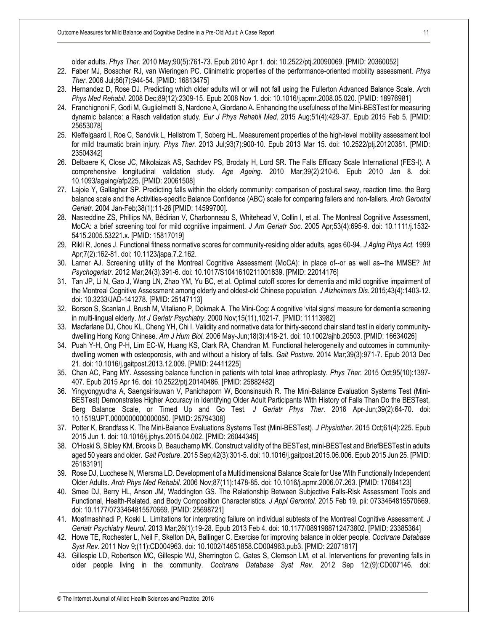older adults. *Phys Ther*. 2010 May;90(5):761-73. Epub 2010 Apr 1. doi: 10.2522/ptj.20090069. [PMID: 20360052]

- 22. Faber MJ, Bosscher RJ, van Wieringen PC. Clinimetric properties of the performance-oriented mobility assessment*. Phys Ther*. 2006 Jul;86(7):944-54. [PMID: 16813475]
- 23. Hernandez D, Rose DJ. Predicting which older adults will or will not fall using the Fullerton Advanced Balance Scale. *Arch Phys Med Rehabil.* 2008 Dec;89(12):2309-15. Epub 2008 Nov 1. doi: 10.1016/j.apmr.2008.05.020. [PMID: 18976981]
- 24. Franchignoni F, Godi M, Guglielmetti S, Nardone A, Giordano A. Enhancing the usefulness of the Mini-BESTest for measuring dynamic balance: a Rasch validation study*. Eur J Phys Rehabil Med*. 2015 Aug;51(4):429-37. Epub 2015 Feb 5. [PMID: 25653078]
- 25. Kleffelgaard I, Roe C, Sandvik L, Hellstrom T, Soberg HL. Measurement properties of the high-level mobility assessment tool for mild traumatic brain injury. *Phys Ther.* 2013 Jul;93(7):900-10. Epub 2013 Mar 15. doi: 10.2522/ptj.20120381. [PMID: 23504342]
- 26. Delbaere K, Close JC, Mikolaizak AS, Sachdev PS, Brodaty H, Lord SR. The Falls Efficacy Scale International (FES-I). A comprehensive longitudinal validation study. *Age Ageing.* 2010 Mar;39(2):210-6. Epub 2010 Jan 8. doi: 10.1093/ageing/afp225. [PMID: 20061508]
- 27. Lajoie Y, Gallagher SP. Predicting falls within the elderly community: comparison of postural sway, reaction time, the Berg balance scale and the Activities-specific Balance Confidence (ABC) scale for comparing fallers and non-fallers. *Arch Gerontol Geriatr*. 2004 Jan-Feb;38(1):11-26 [PMID: 14599700].
- 28. Nasreddine ZS, Phillips NA, Bédirian V, Charbonneau S, Whitehead V, Collin I, et al. The Montreal Cognitive Assessment, MoCA: a brief screening tool for mild cognitive impairment. *J Am Geriatr Soc*. 2005 Apr;53(4):695-9. doi: 10.1111/j.1532- 5415.2005.53221.x. [PMID: 15817019]
- 29. Rikli R, Jones J. Functional fitness normative scores for community-residing older adults, ages 60-94. *J Aging Phys Act.* 1999 Apr;7(2):162-81. doi: 10.1123/japa.7.2.162.
- 30. Larner AJ. Screening utility of the Montreal Cognitive Assessment (MoCA): in place of--or as well as--the MMSE? *Int Psychogeriatr.* 2012 Mar;24(3):391-6. doi: 10.1017/S1041610211001839. [PMID: 22014176]
- 31. Tan JP, Li N, Gao J, Wang LN, Zhao YM, Yu BC, et al. Optimal cutoff scores for dementia and mild cognitive impairment of the Montreal Cognitive Assessment among elderly and oldest-old Chinese population*. J Alzheimers Dis*. 2015;43(4):1403-12. doi: 10.3233/JAD-141278. [PMID: 25147113]
- 32. Borson S, Scanlan J, Brush M, Vitaliano P, Dokmak A. The Mini-Cog: A cognitive 'vital signs' measure for dementia screening in multi-lingual elderly. *Int J Geriatr Psychiatry*. 2000 Nov;15(11),1021-7. [PMID: 11113982]
- 33. Macfarlane DJ, Chou KL, Cheng YH, Chi I. Validity and normative data for thirty-second chair stand test in elderly communitydwelling Hong Kong Chinese. *Am J Hum Biol.* 2006 May-Jun;18(3):418-21. doi: 10.1002/ajhb.20503. [PMID: 16634026]
- 34. Puah Y-H, Ong P-H, Lim EC-W, Huang KS, Clark RA, Chandran M. Functional heterogeneity and outcomes in communitydwelling women with osteoporosis, with and without a history of falls. *Gait Posture*. 2014 Mar;39(3):971-7. Epub 2013 Dec 21. doi: 10.1016/j.gaitpost.2013.12.009. [PMID: 24411225]
- 35. Chan AC, Pang MY. Assessing balance function in patients with total knee arthroplasty*. Phys Ther.* 2015 Oct;95(10):1397- 407. Epub 2015 Apr 16. doi: 10.2522/ptj.20140486. [PMID: 25882482]
- 36. Yingyongyudha A, Saengsirisuwan V, Panichaporn W, Boonsinsukh R. The Mini-Balance Evaluation Systems Test (Mini-BESTest) Demonstrates Higher Accuracy in Identifying Older Adult Participants With History of Falls Than Do the BESTest, Berg Balance Scale, or Timed Up and Go Test. *J Geriatr Phys Ther*. 2016 Apr-Jun;39(2):64-70. doi: 10.1519/JPT.0000000000000050. [PMID: 25794308]
- 37. Potter K, Brandfass K. The Mini-Balance Evaluations Systems Test (Mini-BESTest). *J Physiother*. 2015 Oct;61(4):225. Epub 2015 Jun 1. doi: 10.1016/j.jphys.2015.04.002. [PMID: 26044345]
- 38. O'Hoski S, Sibley KM, Brooks D, Beauchamp MK. Construct validity of the BESTest, mini-BESTest and BriefBESTest in adults aged 50 years and older. *Gait Posture*. 2015 Sep;42(3):301-5. doi: 10.1016/j.gaitpost.2015.06.006. Epub 2015 Jun 25. [PMID: 26183191]
- 39. Rose DJ, Lucchese N, Wiersma LD. Development of a Multidimensional Balance Scale for Use With Functionally Independent Older Adults. *Arch Phys Med Rehabil*. 2006 Nov;87(11):1478-85. doi: 10.1016/j.apmr.2006.07.263. [PMID: 17084123]
- 40. Smee DJ, Berry HL, Anson JM, Waddington GS. The Relationship Between Subjective Falls-Risk Assessment Tools and Functional, Health-Related, and Body Composition Characteristics*. J Appl Gerontol.* 2015 Feb 19. pii: 0733464815570669. doi: 10.1177/0733464815570669. [PMID: 25698721]
- 41. Moafmashhadi P, Koski L. Limitations for interpreting failure on individual subtests of the Montreal Cognitive Assessment*. J Geriatr Psychiatry Neurol*. 2013 Mar;26(1):19-28. Epub 2013 Feb 4. doi: 10.1177/0891988712473802. [PMID: 23385364]
- 42. Howe TE, Rochester L, Neil F, Skelton DA, Ballinger C. Exercise for improving balance in older people. *Cochrane Database Syst Rev*. 2011 Nov 9;(11):CD004963. doi: 10.1002/14651858.CD004963.pub3. [PMID: 22071817]
- 43. Gillespie LD, Robertson MC, Gillespie WJ, Sherrington C, Gates S, Clemson LM, et al. Interventions for preventing falls in older people living in the community*. Cochrane Database Syst Rev*. 2012 Sep 12;(9):CD007146. doi: